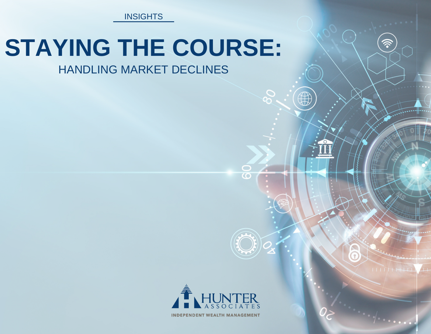**INSIGHTS** 

## **STAYING THE COURSE:**

## HANDLING MARKET DECLINES



**INDEPENDENT WEALTH MANAGEMENT**